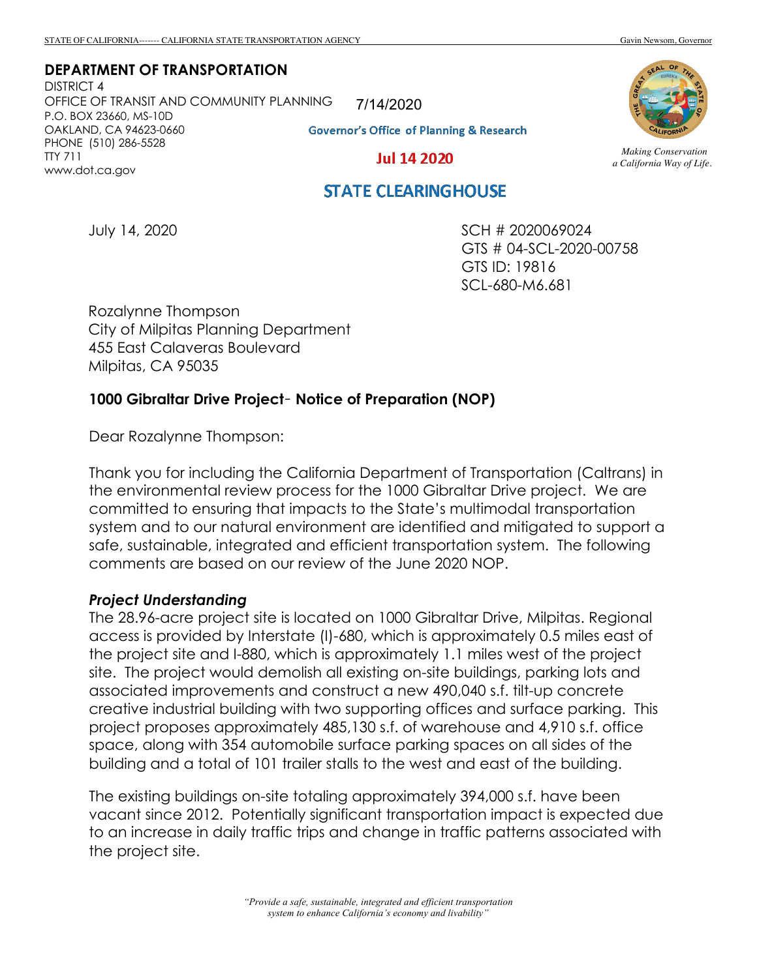**DEPARTMENT OF TRANSPORTATION**

DISTRICT 4 OFFICE OF TRANSIT AND COMMUNITY PLANNING P.O. BOX 23660, MS-10D OAKLAND, CA 94623-0660 PHONE (510) 286-5528 TTY 711 www.dot.ca.gov

7/14/2020

**Governor's Office of Planning & Research** 

**Jul 14 2020** 

#### *Making Conservation a California Way of Life.*

# **STATE CLEARINGHOUSE**

July 14, 2020

SCH # 2020069024 GTS # 04-SCL-2020-00758 GTS ID: 19816 SCL-680-M6.681

Rozalynne Thompson City of Milpitas Planning Department 455 East Calaveras Boulevard Milpitas, CA 95035

## **1000 Gibraltar Drive Project**– **Notice of Preparation (NOP)**

Dear Rozalynne Thompson:

Thank you for including the California Department of Transportation (Caltrans) in the environmental review process for the 1000 Gibraltar Drive project. We are committed to ensuring that impacts to the State's multimodal transportation system and to our natural environment are identified and mitigated to support a safe, sustainable, integrated and efficient transportation system. The following comments are based on our review of the June 2020 NOP.

### *Project Understanding*

The 28.96-acre project site is located on 1000 Gibraltar Drive, Milpitas. Regional access is provided by Interstate (I)-680, which is approximately 0.5 miles east of the project site and I-880, which is approximately 1.1 miles west of the project site. The project would demolish all existing on-site buildings, parking lots and associated improvements and construct a new 490,040 s.f. tilt-up concrete creative industrial building with two supporting offices and surface parking. This project proposes approximately 485,130 s.f. of warehouse and 4,910 s.f. office space, along with 354 automobile surface parking spaces on all sides of the building and a total of 101 trailer stalls to the west and east of the building.

The existing buildings on-site totaling approximately 394,000 s.f. have been vacant since 2012. Potentially significant transportation impact is expected due to an increase in daily traffic trips and change in traffic patterns associated with the project site.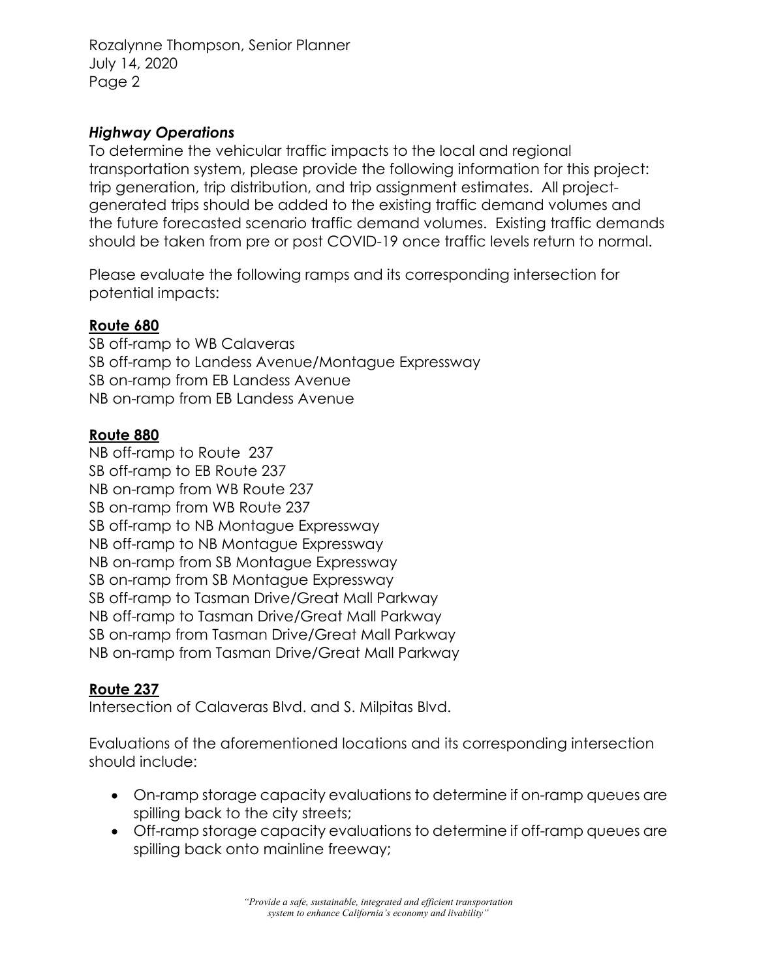# *Highway Operations*

To determine the vehicular traffic impacts to the local and regional transportation system, please provide the following information for this project: trip generation, trip distribution, and trip assignment estimates. All projectgenerated trips should be added to the existing traffic demand volumes and the future forecasted scenario traffic demand volumes. Existing traffic demands should be taken from pre or post COVID-19 once traffic levels return to normal.

Please evaluate the following ramps and its corresponding intersection for potential impacts:

## **Route 680**

SB off-ramp to WB Calaveras SB off-ramp to Landess Avenue/Montague Expressway SB on-ramp from EB Landess Avenue NB on-ramp from EB Landess Avenue

### **Route 880**

NB off-ramp to Route 237 SB off-ramp to EB Route 237 NB on-ramp from WB Route 237 SB on-ramp from WB Route 237 SB off-ramp to NB Montague Expressway NB off-ramp to NB Montague Expressway NB on-ramp from SB Montague Expressway SB on-ramp from SB Montague Expressway SB off-ramp to Tasman Drive/Great Mall Parkway NB off-ramp to Tasman Drive/Great Mall Parkway SB on-ramp from Tasman Drive/Great Mall Parkway NB on-ramp from Tasman Drive/Great Mall Parkway

# **Route 237**

Intersection of Calaveras Blvd. and S. Milpitas Blvd.

Evaluations of the aforementioned locations and its corresponding intersection should include:

- On-ramp storage capacity evaluations to determine if on-ramp queues are spilling back to the city streets;
- Off-ramp storage capacity evaluations to determine if off-ramp queues are spilling back onto mainline freeway;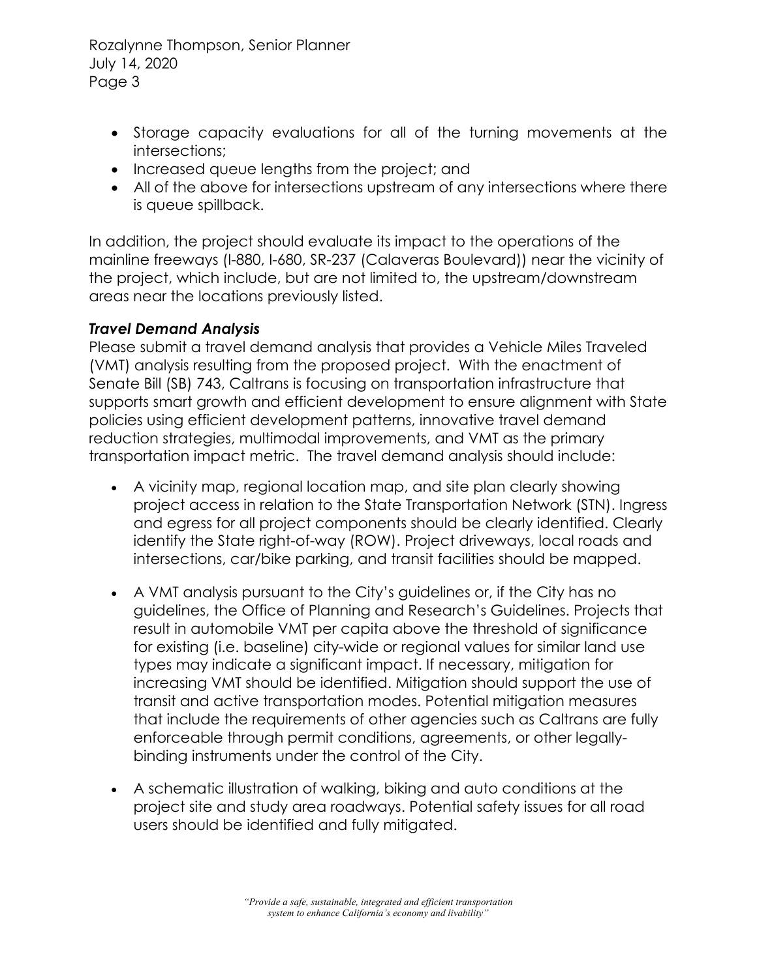- Storage capacity evaluations for all of the turning movements at the intersections;
- Increased queue lengths from the project; and
- All of the above for intersections upstream of any intersections where there is queue spillback.

In addition, the project should evaluate its impact to the operations of the mainline freeways (I-880, I-680, SR-237 (Calaveras Boulevard)) near the vicinity of the project, which include, but are not limited to, the upstream/downstream areas near the locations previously listed.

# *Travel Demand Analysis*

Please submit a travel demand analysis that provides a Vehicle Miles Traveled (VMT) analysis resulting from the proposed project. With the enactment of Senate Bill (SB) 743, Caltrans is focusing on transportation infrastructure that supports smart growth and efficient development to ensure alignment with State policies using efficient development patterns, innovative travel demand reduction strategies, multimodal improvements, and VMT as the primary transportation impact metric. The travel demand analysis should include:

- A vicinity map, regional location map, and site plan clearly showing project access in relation to the State Transportation Network (STN). Ingress and egress for all project components should be clearly identified. Clearly identify the State right-of-way (ROW). Project driveways, local roads and intersections, car/bike parking, and transit facilities should be mapped.
- A VMT analysis pursuant to the City's guidelines or, if the City has no guidelines, the Office of Planning and Research's Guidelines. Projects that result in automobile VMT per capita above the threshold of significance for existing (i.e. baseline) city-wide or regional values for similar land use types may indicate a significant impact. If necessary, mitigation for increasing VMT should be identified. Mitigation should support the use of transit and active transportation modes. Potential mitigation measures that include the requirements of other agencies such as Caltrans are fully enforceable through permit conditions, agreements, or other legallybinding instruments under the control of the City.
- A schematic illustration of walking, biking and auto conditions at the project site and study area roadways. Potential safety issues for all road users should be identified and fully mitigated.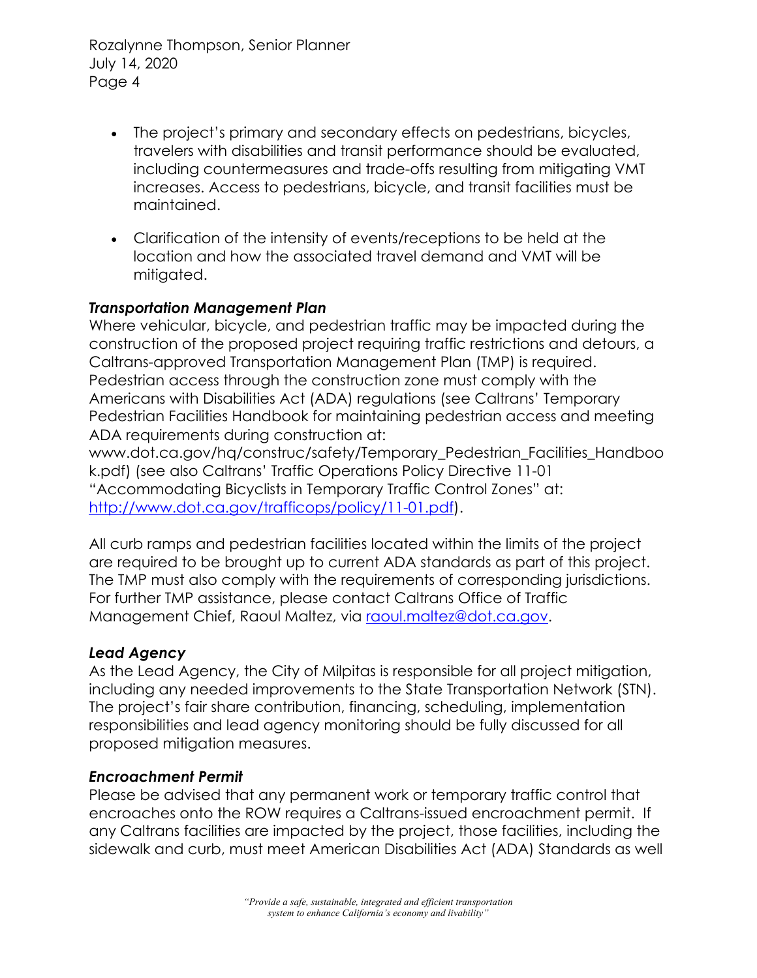- The project's primary and secondary effects on pedestrians, bicycles, travelers with disabilities and transit performance should be evaluated, including countermeasures and trade-offs resulting from mitigating VMT increases. Access to pedestrians, bicycle, and transit facilities must be maintained.
- Clarification of the intensity of events/receptions to be held at the location and how the associated travel demand and VMT will be mitigated.

## *Transportation Management Plan*

Where vehicular, bicycle, and pedestrian traffic may be impacted during the construction of the proposed project requiring traffic restrictions and detours, a Caltrans-approved Transportation Management Plan (TMP) is required. Pedestrian access through the construction zone must comply with the Americans with Disabilities Act (ADA) regulations (see Caltrans' Temporary Pedestrian Facilities Handbook for maintaining pedestrian access and meeting ADA requirements during construction at:

www.dot.ca.gov/hq/construc/safety/Temporary\_Pedestrian\_Facilities\_Handboo k.pdf) (see also Caltrans' Traffic Operations Policy Directive 11-01 "Accommodating Bicyclists in Temporary Traffic Control Zones" at: http://www.dot.ca.gov/trafficops/policy/11-01.pdf).

All curb ramps and pedestrian facilities located within the limits of the project are required to be brought up to current ADA standards as part of this project. The TMP must also comply with the requirements of corresponding jurisdictions. For further TMP assistance, please contact Caltrans Office of Traffic Management Chief, Raoul Maltez, via raoul.maltez@dot.ca.gov.

# *Lead Agency*

As the Lead Agency, the City of Milpitas is responsible for all project mitigation, including any needed improvements to the State Transportation Network (STN). The project's fair share contribution, financing, scheduling, implementation responsibilities and lead agency monitoring should be fully discussed for all proposed mitigation measures.

### *Encroachment Permit*

Please be advised that any permanent work or temporary traffic control that encroaches onto the ROW requires a Caltrans-issued encroachment permit. If any Caltrans facilities are impacted by the project, those facilities, including the sidewalk and curb, must meet American Disabilities Act (ADA) Standards as well